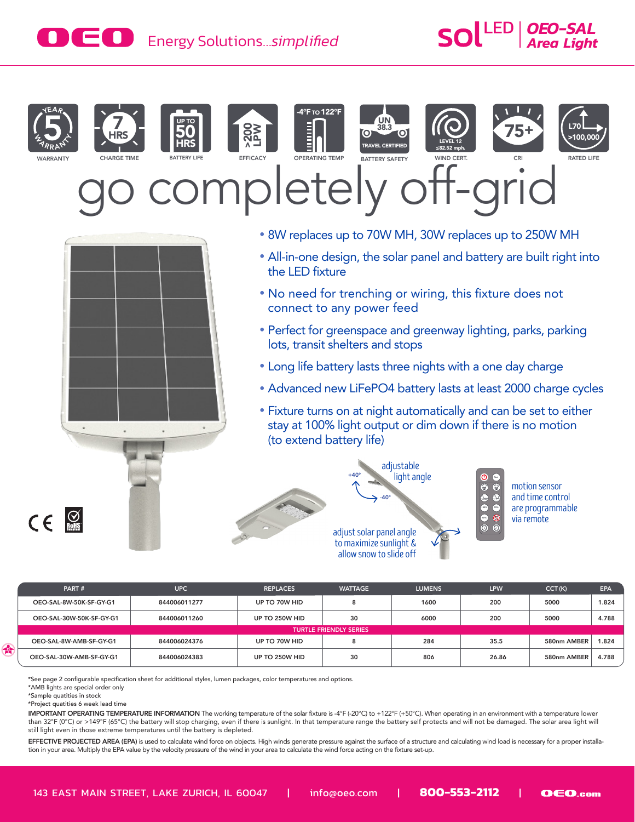# EC **Energy Solutions**...simplified **Area Light** SOL



**WARRANTY** 



















75+



*OEO-SAL*

ompletely off-gr



• 8W replaces up to 70W MH, 30W replaces up to 250W MH

BATTERY SAFETY

UN 38.3 **VEL CERTIFIED** 

(O)

- All-in-one design, the solar panel and battery are built right into the LED fixture
- No need for trenching or wiring, this fixture does not connect to any power feed
- Perfect for greenspace and greenway lighting, parks, parking lots, transit shelters and stops
- Long life battery lasts three nights with a one day charge
- Advanced new LiFePO4 battery lasts at least 2000 charge cycles
- Fixture turns on at night automatically and can be set to either stay at 100% light output or dim down if there is no motion (to extend battery life)





motion sensor and time control are programmable via remote

| PART#                         | <b>UPC</b>                     | <b>REPLACES</b> | <b>WATTAGE</b> | <b>LUMENS</b> | LPW   | CCT(K)      | EPA   |
|-------------------------------|--------------------------------|-----------------|----------------|---------------|-------|-------------|-------|
| OEO-SAL-8W-50K-SF-GY-G1       | 844006011277                   | UP TO 70W HID   |                | 1600          | 200   | 5000        | 1.824 |
| OEO-SAL-30W-50K-SF-GY-G1      | 844006011260<br>UP TO 250W HID |                 | 30             | 6000          | 200   | 5000        | 4.788 |
| <b>TURTLE FRIENDLY SERIES</b> |                                |                 |                |               |       |             |       |
| OEO-SAL-8W-AMB-SF-GY-G1       | 844006024376                   | UP TO 70W HID   |                | 284           | 35.5  | 580nm AMBER | 1.824 |
| OEO-SAL-30W-AMB-SF-GY-G1      | 844006024383                   | UP TO 250W HID  | 30             | 806           | 26.86 | 580nm AMBER | 4.788 |

\*See page 2 configurable specification sheet for additional styles, lumen packages, color temperatures and options.

\*AMB lights are special order only

\*Sample quatities in stock

4

 $C \in \mathbb{S}$ 

\*Project quatities 6 week lead time

IMPORTANT OPERATING TEMPERATURE INFORMATION The working temperature of the solar fixture is -4°F (-20℃) to +122°F (+50℃). When operating in an environment with a temperature lower than 32°F (0°C) or >149°F (65°C) the battery will stop charging, even if there is sunlight. In that temperature range the battery self protects and will not be damaged. The solar area light will still light even in those extreme temperatures until the battery is depleted.

EFFECTIVE PROJECTED AREA (EPA) is used to calculate wind force on objects. High winds generate pressure against the surface of a structure and calculating wind load is necessary for a proper installation in your area. Multiply the EPA value by the velocity pressure of the wind in your area to calculate the wind force acting on the fixture set-up.

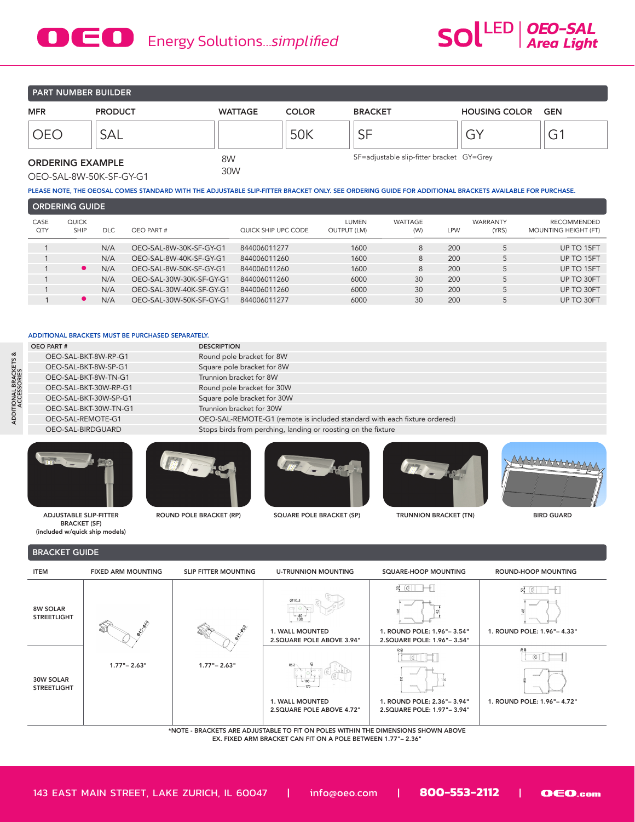## **DED** Energy Solutions...simplified



**PART NUMBER BUILDER** 

| <b>MFR</b>                                         | <b>PRODUCT</b> | <b>WATTAGE</b> | <b>COLOR</b> | <b>BRACKET</b>                            | <b>HOUSING COLOR</b> | GEN |
|----------------------------------------------------|----------------|----------------|--------------|-------------------------------------------|----------------------|-----|
| NF(                                                | SAL            |                | 50K          | SF                                        | ⌒ヽ<br>َت             | G1  |
| <b>ORDERING EXAMPLE</b><br>OEO-SAL-8W-50K-SF-GY-G1 |                | 8W<br>30W      |              | SF=adjustable slip-fitter bracket GY=Grey |                      |     |

PLEASE NOTE, THE OEOSAL COMES STANDARD WITH THE ADJUSTABLE SLIP-FITTER BRACKET ONLY. SEE ORDERING GUIDE FOR ADDITIONAL BRACKETS AVAILABLE FOR PURCHASE.

| <b>CORDERING GUIDE</b> |                             |            |                          |                     |                             |                |            |                          |                                            |
|------------------------|-----------------------------|------------|--------------------------|---------------------|-----------------------------|----------------|------------|--------------------------|--------------------------------------------|
| CASE<br>QTY            | <b>QUICK</b><br><b>SHIP</b> | <b>DLC</b> | OEO PART #               | QUICK SHIP UPC CODE | LUMEN<br><b>OUTPUT (LM)</b> | WATTAGE<br>(W) | <b>LPW</b> | <b>WARRANTY</b><br>(YRS) | <b>RECOMMENDED</b><br>MOUNTING HEIGHT (FT) |
|                        |                             | N/A        | OEO-SAL-8W-30K-SF-GY-G1  | 844006011277        | 1600                        | 8              | 200        |                          | UP TO 15FT                                 |
|                        |                             | N/A        | OEO-SAL-8W-40K-SF-GY-G1  | 844006011260        | 1600                        | 8              | 200        | 5                        | UP TO 15FT                                 |
|                        | $\bullet$                   | N/A        | OEO-SAL-8W-50K-SF-GY-G1  | 844006011260        | 1600                        | 8              | 200        |                          | UP TO 15FT                                 |
|                        |                             | N/A        | OEO-SAL-30W-30K-SF-GY-G1 | 844006011260        | 6000                        | 30             | 200        |                          | UP TO 30FT                                 |
|                        |                             | N/A        | OEO-SAL-30W-40K-SF-GY-G1 | 844006011260        | 6000                        | 30             | 200        |                          | UP TO 30FT                                 |
|                        | $\bullet$                   | N/A        | OEO-SAL-30W-50K-SF-GY-G1 | 844006011277        | 6000                        | 30             | 200        | 5                        | UP TO 30FT                                 |
|                        |                             |            |                          |                     |                             |                |            |                          |                                            |

#### ADDITIONAL BRACKETS MUST BE PURCHASED SEPARATELY.

| <b>OEO PART#</b>      | <b>DESCRIPTION</b>                                                        |
|-----------------------|---------------------------------------------------------------------------|
| OEO-SAL-BKT-8W-RP-G1  | Round pole bracket for 8W                                                 |
| OEO-SAL-BKT-8W-SP-G1  | Square pole bracket for 8W                                                |
| OEO-SAL-BKT-8W-TN-G1  | Trunnion bracket for 8W                                                   |
| OEO-SAL-BKT-30W-RP-G1 | Round pole bracket for 30W                                                |
| OEO-SAL-BKT-30W-SP-G1 | Square pole bracket for 30W                                               |
| OEO-SAL-BKT-30W-TN-G1 | Trunnion bracket for 30W                                                  |
| OEO-SAL-REMOTE-G1     | OEO-SAL-REMOTE-G1 (remote is included standard with each fixture ordered) |
| OEO-SAL-BIRDGUARD     | Stops birds from perching, landing or roosting on the fixture             |
|                       |                                                                           |



ADJUSTABLE SLIP-FITTER BRACKET (SF) (included w/quick ship models)



ROUND POLE BRACKET (RP) SQUARE POLE BRACKET (SP) TRUNNION BRACKET (TN) BIRD GUARD





#### BRACKET GUIDE



\*NOTE - BRACKETS ARE ADJUSTABLE TO FIT ON POLES WITHIN THE DIMENSIONS SHOWN ABOVE EX. FIXED ARM BRACKET CAN FIT ON A POLE BETWEEN 1.77"– 2.36"